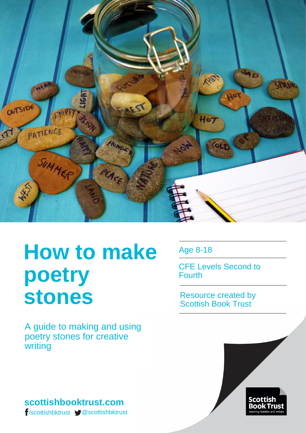

# **How to make poetry stones**

A guide to making and using poetry stones for creative writing

# **scottishbooktrust.com**

/scottishbktrust @scottishbktrust

Age 8-18

CFE Levels Second to Fourth

Resource created by Scottish Book Trust

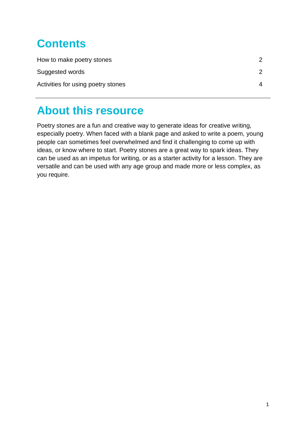# **Contents**

| How to make poetry stones          |  |
|------------------------------------|--|
| Suggested words                    |  |
| Activities for using poetry stones |  |

# **About this resource**

Poetry stones are a fun and creative way to generate ideas for creative writing, especially poetry. When faced with a blank page and asked to write a poem, young people can sometimes feel overwhelmed and find it challenging to come up with ideas, or know where to start. Poetry stones are a great way to spark ideas. They can be used as an impetus for writing, or as a starter activity for a lesson. They are versatile and can be used with any age group and made more or less complex, as you require.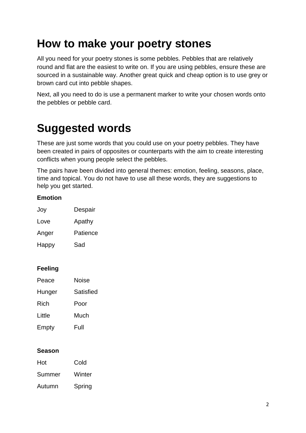# **How to make your poetry stones**

All you need for your poetry stones is some pebbles. Pebbles that are relatively round and flat are the easiest to write on. If you are using pebbles, ensure these are sourced in a sustainable way. Another great quick and cheap option is to use grey or brown card cut into pebble shapes.

Next, all you need to do is use a permanent marker to write your chosen words onto the pebbles or pebble card.

# **Suggested words**

These are just some words that you could use on your poetry pebbles. They have been created in pairs of opposites or counterparts with the aim to create interesting conflicts when young people select the pebbles.

The pairs have been divided into general themes: emotion, feeling, seasons, place, time and topical. You do not have to use all these words, they are suggestions to help you get started.

### **Emotion**

| Joy   | Despair  |
|-------|----------|
| Love  | Apathy   |
| Anger | Patience |
| Happy | Sad      |

### **Feeling**

| Peace  | Noise     |
|--------|-----------|
| Hunger | Satisfied |
| Rich   | Poor      |
| Little | Much      |
| Empty  | Full      |

#### **Season**

| Hot    | Cold   |
|--------|--------|
| Summer | Winter |

Autumn Spring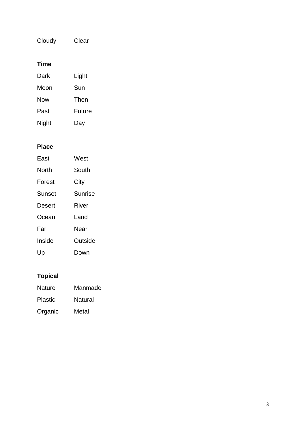Cloudy Clear

## **Time**

| Dark  | Light  |
|-------|--------|
| Moon  | Sun    |
| Now   | Then   |
| Past  | Future |
| Night | Day    |

### **Place**

| East   | West    |
|--------|---------|
| North  | South   |
| Forest | City    |
| Sunset | Sunrise |
| Desert | River   |
| Ocean  | l and   |
| Far    | Near    |
| Inside | Outside |
| Up     | Down    |

# **Topical**

| <b>Nature</b>  | Manmade        |
|----------------|----------------|
| <b>Plastic</b> | <b>Natural</b> |
| Organic        | Metal          |